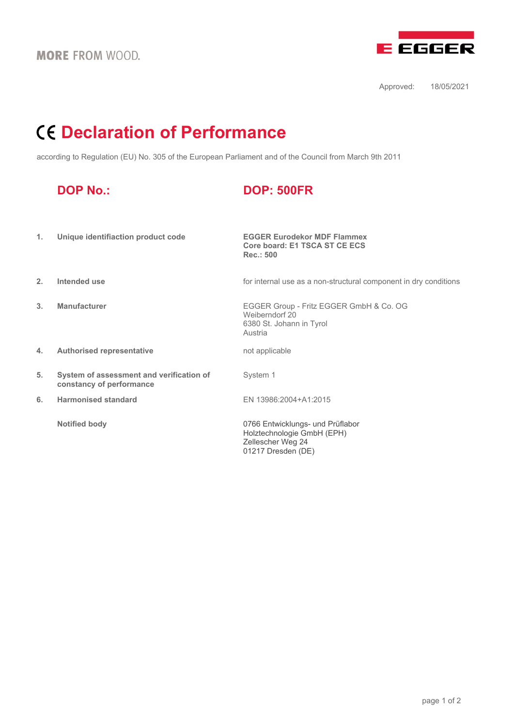

Approved: 18/05/2021

## **Declaration of Performance**

according to Regulation (EU) No. 305 of the European Parliament and of the Council from March 9th 2011

|    | <b>DOP No.:</b>                                                      | <b>DOP: 500FR</b>                                                                                         |
|----|----------------------------------------------------------------------|-----------------------------------------------------------------------------------------------------------|
| 1. | Unique identifiaction product code                                   | <b>EGGER Eurodekor MDF Flammex</b><br>Core board: E1 TSCA ST CE ECS<br>Rec.: 500                          |
| 2. | Intended use                                                         | for internal use as a non-structural component in dry conditions                                          |
| 3. | <b>Manufacturer</b>                                                  | EGGER Group - Fritz EGGER GmbH & Co. OG<br>Weiberndorf 20<br>6380 St. Johann in Tyrol<br>Austria          |
| 4. | <b>Authorised representative</b>                                     | not applicable                                                                                            |
| 5. | System of assessment and verification of<br>constancy of performance | System 1                                                                                                  |
| 6. | <b>Harmonised standard</b>                                           | EN 13986:2004+A1:2015                                                                                     |
|    | <b>Notified body</b>                                                 | 0766 Entwicklungs- und Prüflabor<br>Holztechnologie GmbH (EPH)<br>Zellescher Weg 24<br>01217 Dresden (DE) |